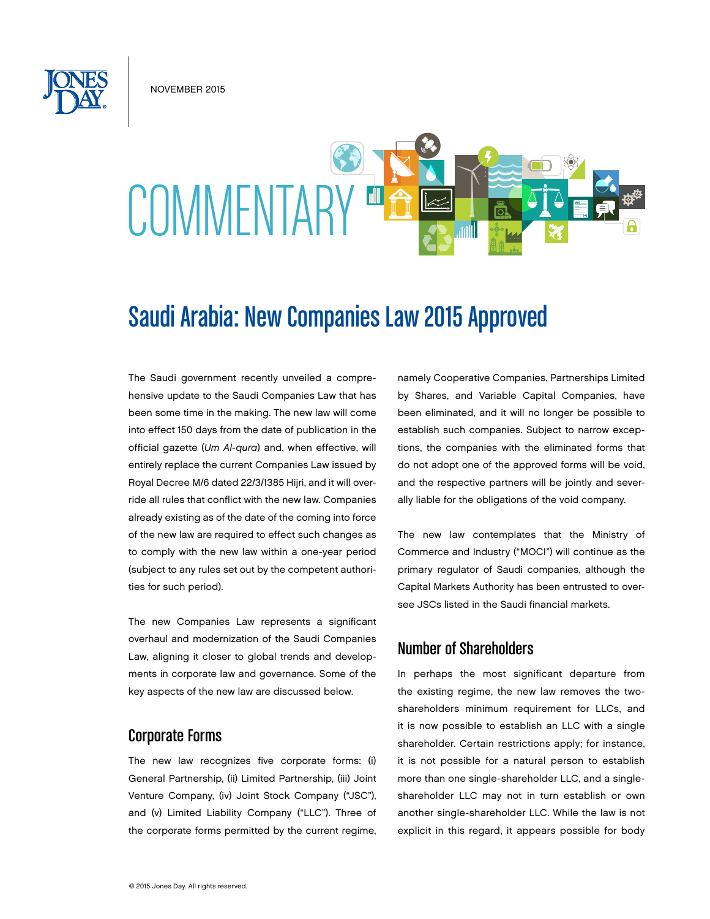NOVEMBER 2015

# **COMMENTARY**

# Saudi Arabia: New Companies Law 2015 Approved

The Saudi government recently unveiled a comprehensive update to the Saudi Companies Law that has been some time in the making. The new law will come into effect 150 days from the date of publication in the official gazette (*Um Al-qura*) and, when effective, will entirely replace the current Companies Law issued by Royal Decree M/6 dated 22/3/1385 Hijri, and it will override all rules that conflict with the new law. Companies already existing as of the date of the coming into force of the new law are required to effect such changes as to comply with the new law within a one-year period (subject to any rules set out by the competent authorities for such period).

The new Companies Law represents a significant overhaul and modernization of the Saudi Companies Law, aligning it closer to global trends and developments in corporate law and governance. Some of the key aspects of the new law are discussed below.

#### Corporate Forms

The new law recognizes five corporate forms: (i) General Partnership, (ii) Limited Partnership, (iii) Joint Venture Company, (iv) Joint Stock Company ("JSC"), and (v) Limited Liability Company ("LLC"). Three of the corporate forms permitted by the current regime, namely Cooperative Companies, Partnerships Limited by Shares, and Variable Capital Companies, have been eliminated, and it will no longer be possible to establish such companies. Subject to narrow exceptions, the companies with the eliminated forms that do not adopt one of the approved forms will be void, and the respective partners will be jointly and severally liable for the obligations of the void company.

The new law contemplates that the Ministry of Commerce and Industry ("MOCI") will continue as the primary regulator of Saudi companies, although the Capital Markets Authority has been entrusted to oversee JSCs listed in the Saudi financial markets.

# Number of Shareholders

In perhaps the most significant departure from the existing regime, the new law removes the twoshareholders minimum requirement for LLCs, and it is now possible to establish an LLC with a single shareholder. Certain restrictions apply; for instance, it is not possible for a natural person to establish more than one single-shareholder LLC, and a singleshareholder LLC may not in turn establish or own another single-shareholder LLC. While the law is not explicit in this regard, it appears possible for body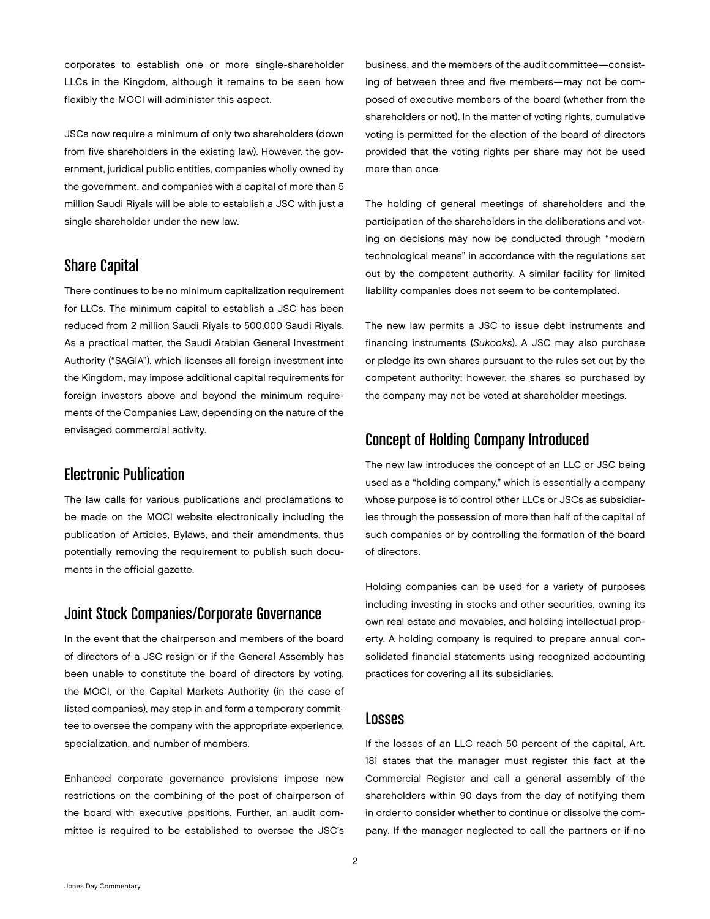corporates to establish one or more single-shareholder LLCs in the Kingdom, although it remains to be seen how flexibly the MOCI will administer this aspect.

JSCs now require a minimum of only two shareholders (down from five shareholders in the existing law). However, the government, juridical public entities, companies wholly owned by the government, and companies with a capital of more than 5 million Saudi Riyals will be able to establish a JSC with just a single shareholder under the new law.

# Share Capital

There continues to be no minimum capitalization requirement for LLCs. The minimum capital to establish a JSC has been reduced from 2 million Saudi Riyals to 500,000 Saudi Riyals. As a practical matter, the Saudi Arabian General Investment Authority ("SAGIA"), which licenses all foreign investment into the Kingdom, may impose additional capital requirements for foreign investors above and beyond the minimum requirements of the Companies Law, depending on the nature of the envisaged commercial activity.

# Electronic Publication

The law calls for various publications and proclamations to be made on the MOCI website electronically including the publication of Articles, Bylaws, and their amendments, thus potentially removing the requirement to publish such documents in the official gazette.

# Joint Stock Companies/Corporate Governance

In the event that the chairperson and members of the board of directors of a JSC resign or if the General Assembly has been unable to constitute the board of directors by voting, the MOCI, or the Capital Markets Authority (in the case of listed companies), may step in and form a temporary committee to oversee the company with the appropriate experience, specialization, and number of members.

Enhanced corporate governance provisions impose new restrictions on the combining of the post of chairperson of the board with executive positions. Further, an audit committee is required to be established to oversee the JSC's

business, and the members of the audit committee—consisting of between three and five members—may not be composed of executive members of the board (whether from the shareholders or not). In the matter of voting rights, cumulative voting is permitted for the election of the board of directors provided that the voting rights per share may not be used more than once.

The holding of general meetings of shareholders and the participation of the shareholders in the deliberations and voting on decisions may now be conducted through "modern technological means" in accordance with the regulations set out by the competent authority. A similar facility for limited liability companies does not seem to be contemplated.

The new law permits a JSC to issue debt instruments and financing instruments (*Sukooks*). A JSC may also purchase or pledge its own shares pursuant to the rules set out by the competent authority; however, the shares so purchased by the company may not be voted at shareholder meetings.

#### Concept of Holding Company Introduced

The new law introduces the concept of an LLC or JSC being used as a "holding company," which is essentially a company whose purpose is to control other LLCs or JSCs as subsidiaries through the possession of more than half of the capital of such companies or by controlling the formation of the board of directors.

Holding companies can be used for a variety of purposes including investing in stocks and other securities, owning its own real estate and movables, and holding intellectual property. A holding company is required to prepare annual consolidated financial statements using recognized accounting practices for covering all its subsidiaries.

#### Losses

If the losses of an LLC reach 50 percent of the capital, Art. 181 states that the manager must register this fact at the Commercial Register and call a general assembly of the shareholders within 90 days from the day of notifying them in order to consider whether to continue or dissolve the company. If the manager neglected to call the partners or if no